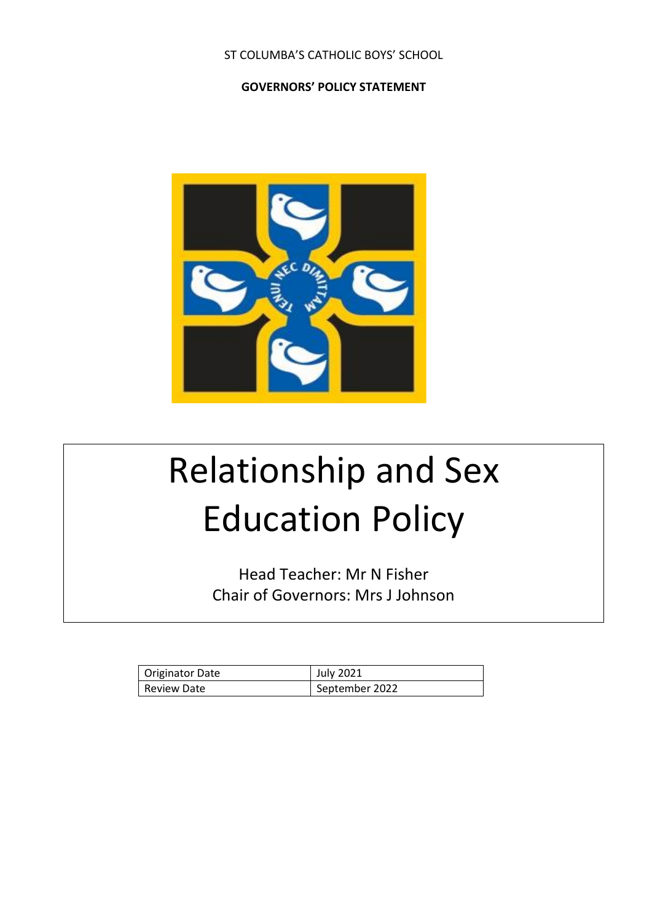## ST COLUMBA'S CATHOLIC BOYS' SCHOOL

## **GOVERNORS' POLICY STATEMENT**



# Relationship and Sex Education Policy

Head Teacher: Mr N Fisher Chair of Governors: Mrs J Johnson

| Originator Date | July 2021      |
|-----------------|----------------|
| Review Date     | September 2022 |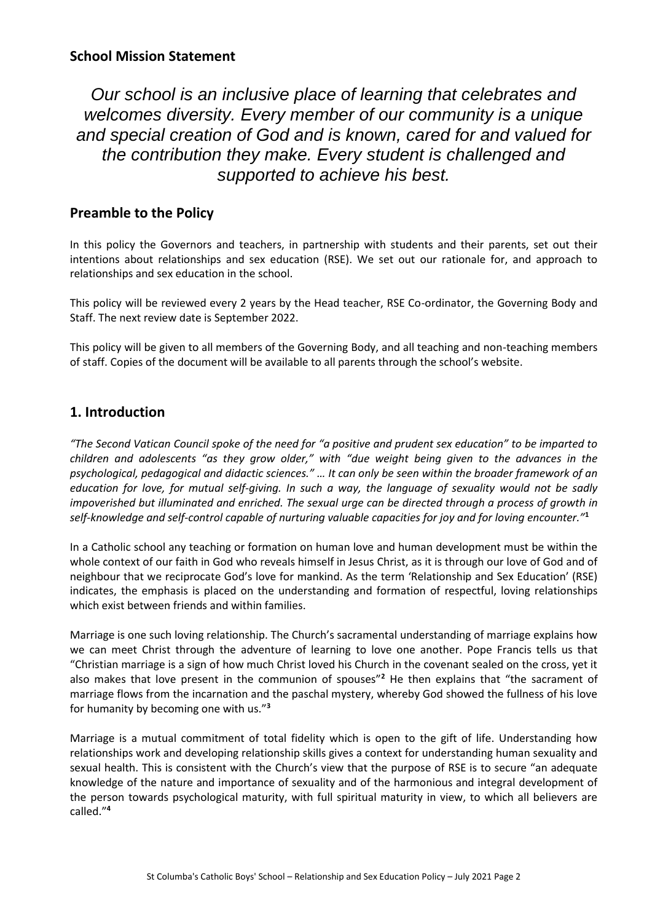*Our school is an inclusive place of learning that celebrates and welcomes diversity. Every member of our community is a unique and special creation of God and is known, cared for and valued for the contribution they make. Every student is challenged and supported to achieve his best.*

# **Preamble to the Policy**

In this policy the Governors and teachers, in partnership with students and their parents, set out their intentions about relationships and sex education (RSE). We set out our rationale for, and approach to relationships and sex education in the school.

This policy will be reviewed every 2 years by the Head teacher, RSE Co-ordinator, the Governing Body and Staff. The next review date is September 2022.

This policy will be given to all members of the Governing Body, and all teaching and non-teaching members of staff. Copies of the document will be available to all parents through the school's website.

# **1. Introduction**

*"The Second Vatican Council spoke of the need for "a positive and prudent sex education" to be imparted to children and adolescents "as they grow older," with "due weight being given to the advances in the psychological, pedagogical and didactic sciences." … It can only be seen within the broader framework of an education for love, for mutual self-giving. In such a way, the language of sexuality would not be sadly impoverished but illuminated and enriched. The sexual urge can be directed through a process of growth in self-knowledge and self-control capable of nurturing valuable capacities for joy and for loving encounter."***<sup>1</sup>**

In a Catholic school any teaching or formation on human love and human development must be within the whole context of our faith in God who reveals himself in Jesus Christ, as it is through our love of God and of neighbour that we reciprocate God's love for mankind. As the term 'Relationship and Sex Education' (RSE) indicates, the emphasis is placed on the understanding and formation of respectful, loving relationships which exist between friends and within families.

Marriage is one such loving relationship. The Church's sacramental understanding of marriage explains how we can meet Christ through the adventure of learning to love one another. Pope Francis tells us that "Christian marriage is a sign of how much Christ loved his Church in the covenant sealed on the cross, yet it also makes that love present in the communion of spouses"**<sup>2</sup>** He then explains that "the sacrament of marriage flows from the incarnation and the paschal mystery, whereby God showed the fullness of his love for humanity by becoming one with us."**<sup>3</sup>**

Marriage is a mutual commitment of total fidelity which is open to the gift of life. Understanding how relationships work and developing relationship skills gives a context for understanding human sexuality and sexual health. This is consistent with the Church's view that the purpose of RSE is to secure "an adequate knowledge of the nature and importance of sexuality and of the harmonious and integral development of the person towards psychological maturity, with full spiritual maturity in view, to which all believers are called."**4**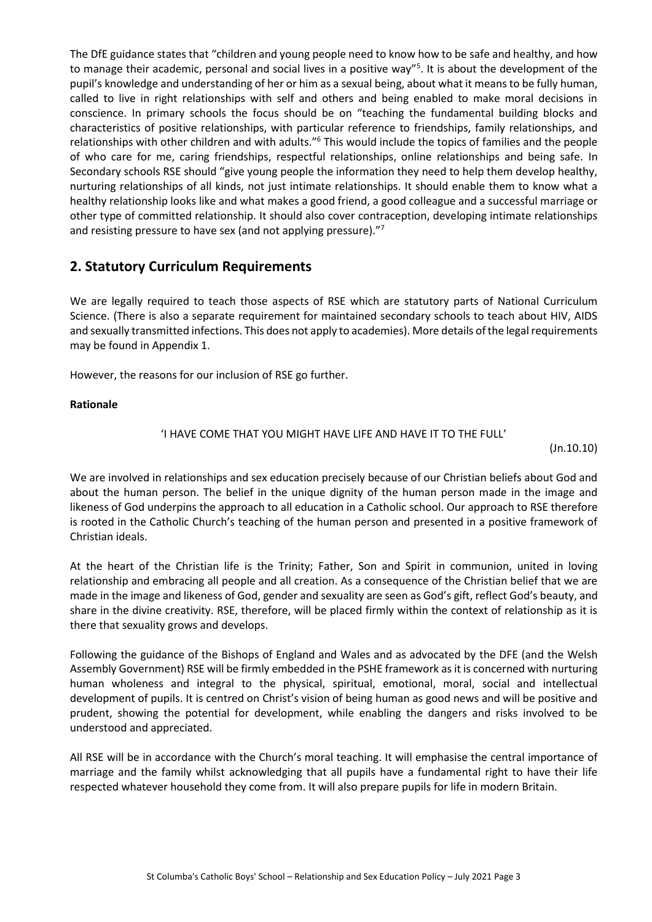The DfE guidance states that "children and young people need to know how to be safe and healthy, and how to manage their academic, personal and social lives in a positive way"<sup>5</sup>. It is about the development of the pupil's knowledge and understanding of her or him as a sexual being, about what it means to be fully human, called to live in right relationships with self and others and being enabled to make moral decisions in conscience. In primary schools the focus should be on "teaching the fundamental building blocks and characteristics of positive relationships, with particular reference to friendships, family relationships, and relationships with other children and with adults."<sup>6</sup> This would include the topics of families and the people of who care for me, caring friendships, respectful relationships, online relationships and being safe. In Secondary schools RSE should "give young people the information they need to help them develop healthy, nurturing relationships of all kinds, not just intimate relationships. It should enable them to know what a healthy relationship looks like and what makes a good friend, a good colleague and a successful marriage or other type of committed relationship. It should also cover contraception, developing intimate relationships and resisting pressure to have sex (and not applying pressure)."<sup>7</sup>

# **2. Statutory Curriculum Requirements**

We are legally required to teach those aspects of RSE which are statutory parts of National Curriculum Science. (There is also a separate requirement for maintained secondary schools to teach about HIV, AIDS and sexually transmitted infections. This does not apply to academies). More details of the legal requirements may be found in Appendix 1.

However, the reasons for our inclusion of RSE go further.

#### **Rationale**

#### 'I HAVE COME THAT YOU MIGHT HAVE LIFE AND HAVE IT TO THE FULL'

(Jn.10.10)

We are involved in relationships and sex education precisely because of our Christian beliefs about God and about the human person. The belief in the unique dignity of the human person made in the image and likeness of God underpins the approach to all education in a Catholic school. Our approach to RSE therefore is rooted in the Catholic Church's teaching of the human person and presented in a positive framework of Christian ideals.

At the heart of the Christian life is the Trinity; Father, Son and Spirit in communion, united in loving relationship and embracing all people and all creation. As a consequence of the Christian belief that we are made in the image and likeness of God, gender and sexuality are seen as God's gift, reflect God's beauty, and share in the divine creativity. RSE, therefore, will be placed firmly within the context of relationship as it is there that sexuality grows and develops.

Following the guidance of the Bishops of England and Wales and as advocated by the DFE (and the Welsh Assembly Government) RSE will be firmly embedded in the PSHE framework as it is concerned with nurturing human wholeness and integral to the physical, spiritual, emotional, moral, social and intellectual development of pupils. It is centred on Christ's vision of being human as good news and will be positive and prudent, showing the potential for development, while enabling the dangers and risks involved to be understood and appreciated.

All RSE will be in accordance with the Church's moral teaching. It will emphasise the central importance of marriage and the family whilst acknowledging that all pupils have a fundamental right to have their life respected whatever household they come from. It will also prepare pupils for life in modern Britain.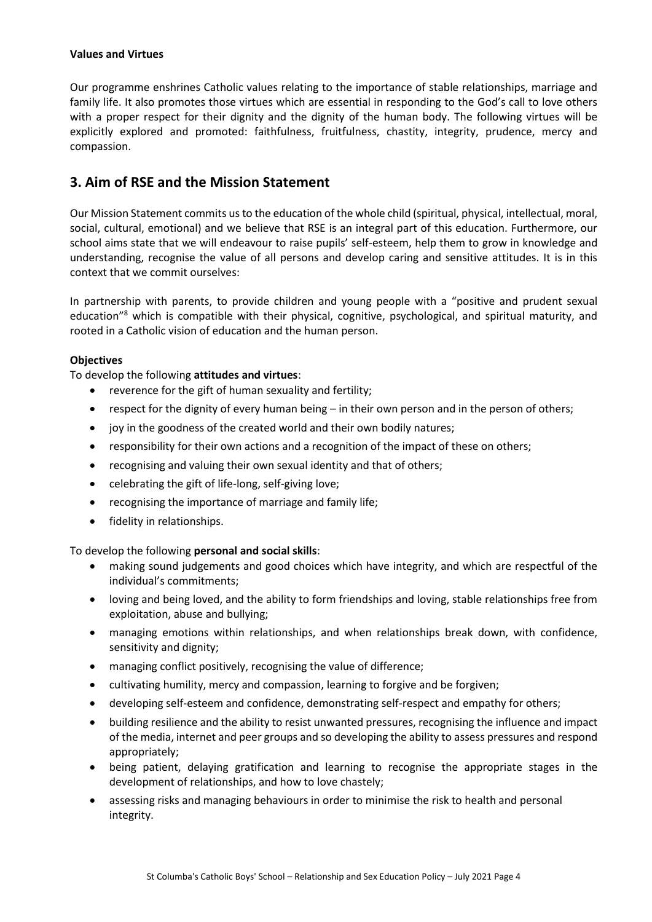#### **Values and Virtues**

Our programme enshrines Catholic values relating to the importance of stable relationships, marriage and family life. It also promotes those virtues which are essential in responding to the God's call to love others with a proper respect for their dignity and the dignity of the human body. The following virtues will be explicitly explored and promoted: faithfulness, fruitfulness, chastity, integrity, prudence, mercy and compassion.

# **3. Aim of RSE and the Mission Statement**

Our Mission Statement commits us to the education of the whole child (spiritual, physical, intellectual, moral, social, cultural, emotional) and we believe that RSE is an integral part of this education. Furthermore, our school aims state that we will endeavour to raise pupils' self-esteem, help them to grow in knowledge and understanding, recognise the value of all persons and develop caring and sensitive attitudes. It is in this context that we commit ourselves:

In partnership with parents, to provide children and young people with a "positive and prudent sexual education<sup>"8</sup> which is compatible with their physical, cognitive, psychological, and spiritual maturity, and rooted in a Catholic vision of education and the human person.

#### **Objectives**

To develop the following **attitudes and virtues**:

- reverence for the gift of human sexuality and fertility;
- respect for the dignity of every human being in their own person and in the person of others;
- joy in the goodness of the created world and their own bodily natures;
- responsibility for their own actions and a recognition of the impact of these on others;
- recognising and valuing their own sexual identity and that of others;
- celebrating the gift of life-long, self-giving love;
- recognising the importance of marriage and family life;
- fidelity in relationships.

To develop the following **personal and social skills**:

- making sound judgements and good choices which have integrity, and which are respectful of the individual's commitments;
- loving and being loved, and the ability to form friendships and loving, stable relationships free from exploitation, abuse and bullying;
- managing emotions within relationships, and when relationships break down, with confidence, sensitivity and dignity;
- managing conflict positively, recognising the value of difference;
- cultivating humility, mercy and compassion, learning to forgive and be forgiven;
- developing self-esteem and confidence, demonstrating self-respect and empathy for others;
- building resilience and the ability to resist unwanted pressures, recognising the influence and impact of the media, internet and peer groups and so developing the ability to assess pressures and respond appropriately;
- being patient, delaying gratification and learning to recognise the appropriate stages in the development of relationships, and how to love chastely;
- assessing risks and managing behaviours in order to minimise the risk to health and personal integrity.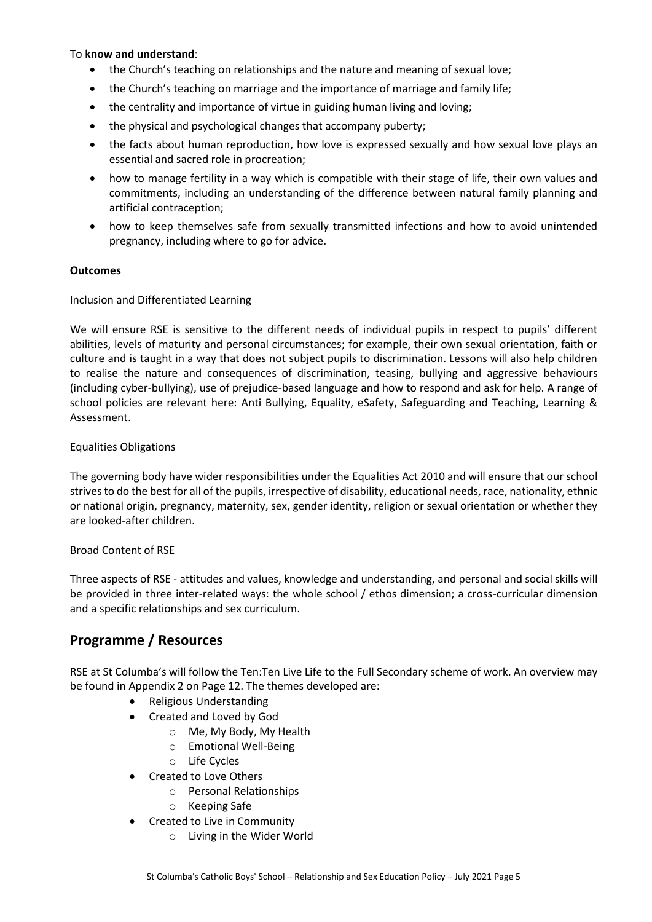#### To **know and understand**:

- the Church's teaching on relationships and the nature and meaning of sexual love;
- the Church's teaching on marriage and the importance of marriage and family life;
- the centrality and importance of virtue in guiding human living and loving;
- the physical and psychological changes that accompany puberty;
- the facts about human reproduction, how love is expressed sexually and how sexual love plays an essential and sacred role in procreation;
- how to manage fertility in a way which is compatible with their stage of life, their own values and commitments, including an understanding of the difference between natural family planning and artificial contraception;
- how to keep themselves safe from sexually transmitted infections and how to avoid unintended pregnancy, including where to go for advice.

#### **Outcomes**

Inclusion and Differentiated Learning

We will ensure RSE is sensitive to the different needs of individual pupils in respect to pupils' different abilities, levels of maturity and personal circumstances; for example, their own sexual orientation, faith or culture and is taught in a way that does not subject pupils to discrimination. Lessons will also help children to realise the nature and consequences of discrimination, teasing, bullying and aggressive behaviours (including cyber-bullying), use of prejudice-based language and how to respond and ask for help. A range of school policies are relevant here: Anti Bullying, Equality, eSafety, Safeguarding and Teaching, Learning & Assessment.

#### Equalities Obligations

The governing body have wider responsibilities under the Equalities Act 2010 and will ensure that our school strives to do the best for all of the pupils, irrespective of disability, educational needs, race, nationality, ethnic or national origin, pregnancy, maternity, sex, gender identity, religion or sexual orientation or whether they are looked-after children.

#### Broad Content of RSE

Three aspects of RSE - attitudes and values, knowledge and understanding, and personal and social skills will be provided in three inter-related ways: the whole school / ethos dimension; a cross-curricular dimension and a specific relationships and sex curriculum.

# **Programme / Resources**

RSE at St Columba's will follow the Ten:Ten Live Life to the Full Secondary scheme of work. An overview may be found in Appendix 2 on Page 12. The themes developed are:

- Religious Understanding
- Created and Loved by God
	- o Me, My Body, My Health
	- o Emotional Well-Being
	- o Life Cycles
- Created to Love Others
	- o Personal Relationships
	- o Keeping Safe
- Created to Live in Community
	- o Living in the Wider World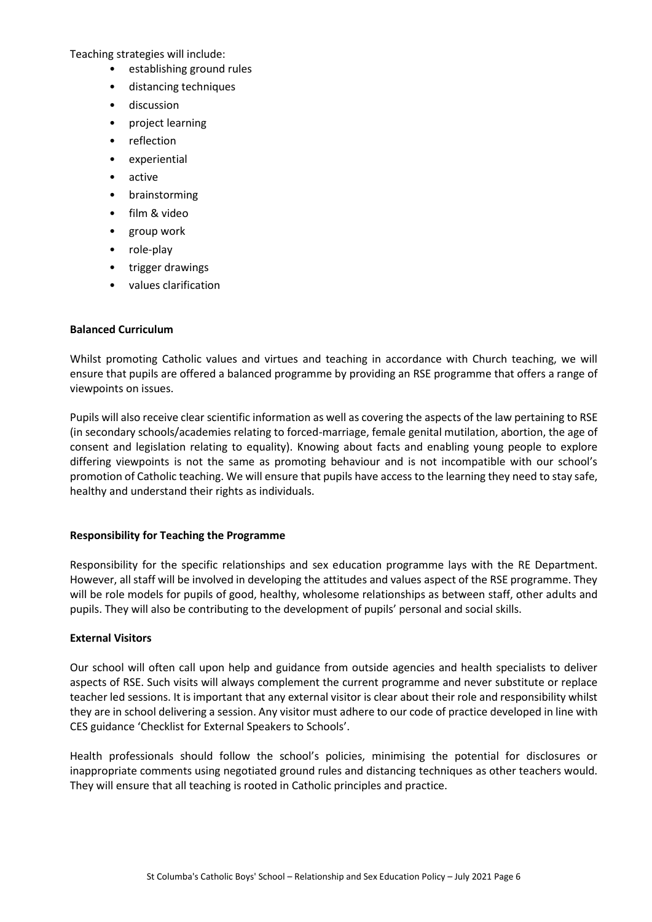Teaching strategies will include:

- establishing ground rules
- distancing techniques
- discussion
- project learning
- reflection
- experiential
- active
- brainstorming
- film & video
- group work
- role-play
- trigger drawings
- values clarification

#### **Balanced Curriculum**

Whilst promoting Catholic values and virtues and teaching in accordance with Church teaching, we will ensure that pupils are offered a balanced programme by providing an RSE programme that offers a range of viewpoints on issues.

Pupils will also receive clear scientific information as well as covering the aspects of the law pertaining to RSE (in secondary schools/academies relating to forced-marriage, female genital mutilation, abortion, the age of consent and legislation relating to equality). Knowing about facts and enabling young people to explore differing viewpoints is not the same as promoting behaviour and is not incompatible with our school's promotion of Catholic teaching. We will ensure that pupils have access to the learning they need to stay safe, healthy and understand their rights as individuals.

#### **Responsibility for Teaching the Programme**

Responsibility for the specific relationships and sex education programme lays with the RE Department. However, all staff will be involved in developing the attitudes and values aspect of the RSE programme. They will be role models for pupils of good, healthy, wholesome relationships as between staff, other adults and pupils. They will also be contributing to the development of pupils' personal and social skills.

#### **External Visitors**

Our school will often call upon help and guidance from outside agencies and health specialists to deliver aspects of RSE. Such visits will always complement the current programme and never substitute or replace teacher led sessions. It is important that any external visitor is clear about their role and responsibility whilst they are in school delivering a session. Any visitor must adhere to our code of practice developed in line with CES guidance 'Checklist for External Speakers to Schools'.

Health professionals should follow the school's policies, minimising the potential for disclosures or inappropriate comments using negotiated ground rules and distancing techniques as other teachers would. They will ensure that all teaching is rooted in Catholic principles and practice.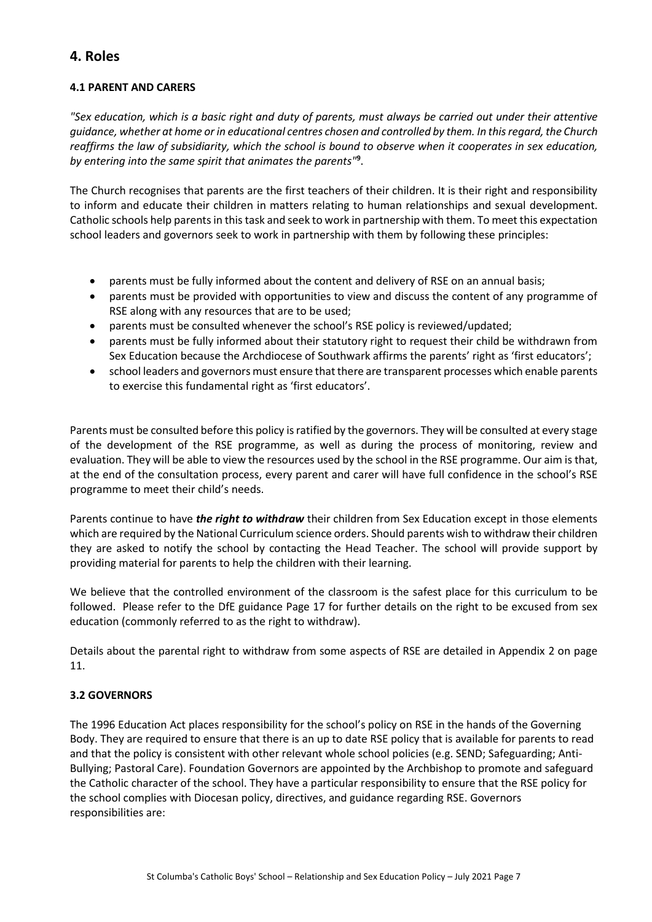# **4. Roles**

#### **4.1 PARENT AND CARERS**

*"Sex education, which is a basic right and duty of parents, must always be carried out under their attentive guidance, whether at home or in educational centres chosen and controlled by them. In this regard, the Church reaffirms the law of subsidiarity, which the school is bound to observe when it cooperates in sex education, by entering into the same spirit that animates the parents"***<sup>9</sup>** .

The Church recognises that parents are the first teachers of their children. It is their right and responsibility to inform and educate their children in matters relating to human relationships and sexual development. Catholic schools help parents in this task and seek to work in partnership with them. To meet this expectation school leaders and governors seek to work in partnership with them by following these principles:

- parents must be fully informed about the content and delivery of RSE on an annual basis;
- parents must be provided with opportunities to view and discuss the content of any programme of RSE along with any resources that are to be used;
- parents must be consulted whenever the school's RSE policy is reviewed/updated;
- parents must be fully informed about their statutory right to request their child be withdrawn from Sex Education because the Archdiocese of Southwark affirms the parents' right as 'first educators';
- school leaders and governors must ensure that there are transparent processes which enable parents to exercise this fundamental right as 'first educators'.

Parents must be consulted before this policy is ratified by the governors. They will be consulted at every stage of the development of the RSE programme, as well as during the process of monitoring, review and evaluation. They will be able to view the resources used by the school in the RSE programme. Our aim is that, at the end of the consultation process, every parent and carer will have full confidence in the school's RSE programme to meet their child's needs.

Parents continue to have *the right to withdraw* their children from Sex Education except in those elements which are required by the National Curriculum science orders. Should parents wish to withdraw their children they are asked to notify the school by contacting the Head Teacher. The school will provide support by providing material for parents to help the children with their learning.

We believe that the controlled environment of the classroom is the safest place for this curriculum to be followed. Please refer to the DfE guidance Page 17 for further details on the right to be excused from sex education (commonly referred to as the right to withdraw).

Details about the parental right to withdraw from some aspects of RSE are detailed in Appendix 2 on page 11.

#### **3.2 GOVERNORS**

The 1996 Education Act places responsibility for the school's policy on RSE in the hands of the Governing Body. They are required to ensure that there is an up to date RSE policy that is available for parents to read and that the policy is consistent with other relevant whole school policies (e.g. SEND; Safeguarding; Anti-Bullying; Pastoral Care). Foundation Governors are appointed by the Archbishop to promote and safeguard the Catholic character of the school. They have a particular responsibility to ensure that the RSE policy for the school complies with Diocesan policy, directives, and guidance regarding RSE. Governors responsibilities are: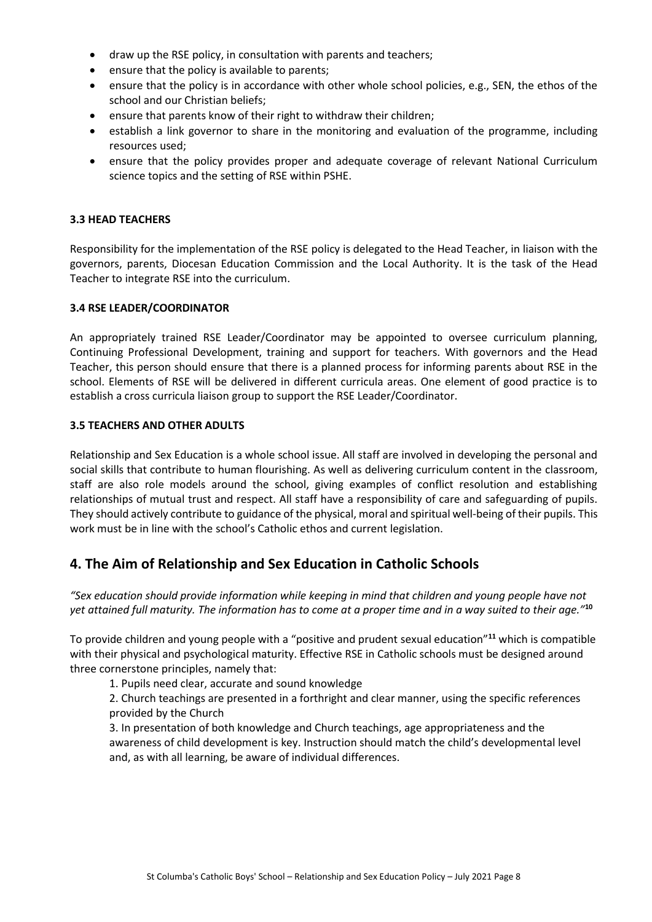- draw up the RSE policy, in consultation with parents and teachers;
- ensure that the policy is available to parents;
- ensure that the policy is in accordance with other whole school policies, e.g., SEN, the ethos of the school and our Christian beliefs;
- ensure that parents know of their right to withdraw their children;
- establish a link governor to share in the monitoring and evaluation of the programme, including resources used;
- ensure that the policy provides proper and adequate coverage of relevant National Curriculum science topics and the setting of RSE within PSHE.

#### **3.3 HEAD TEACHERS**

Responsibility for the implementation of the RSE policy is delegated to the Head Teacher, in liaison with the governors, parents, Diocesan Education Commission and the Local Authority. It is the task of the Head Teacher to integrate RSE into the curriculum.

#### **3.4 RSE LEADER/COORDINATOR**

An appropriately trained RSE Leader/Coordinator may be appointed to oversee curriculum planning, Continuing Professional Development, training and support for teachers. With governors and the Head Teacher, this person should ensure that there is a planned process for informing parents about RSE in the school. Elements of RSE will be delivered in different curricula areas. One element of good practice is to establish a cross curricula liaison group to support the RSE Leader/Coordinator.

#### **3.5 TEACHERS AND OTHER ADULTS**

Relationship and Sex Education is a whole school issue. All staff are involved in developing the personal and social skills that contribute to human flourishing. As well as delivering curriculum content in the classroom, staff are also role models around the school, giving examples of conflict resolution and establishing relationships of mutual trust and respect. All staff have a responsibility of care and safeguarding of pupils. They should actively contribute to guidance of the physical, moral and spiritual well-being of their pupils. This work must be in line with the school's Catholic ethos and current legislation.

# **4. The Aim of Relationship and Sex Education in Catholic Schools**

*"Sex education should provide information while keeping in mind that children and young people have not yet attained full maturity. The information has to come at a proper time and in a way suited to their age."***<sup>10</sup>**

To provide children and young people with a "positive and prudent sexual education"**<sup>11</sup>** which is compatible with their physical and psychological maturity. Effective RSE in Catholic schools must be designed around three cornerstone principles, namely that:

1. Pupils need clear, accurate and sound knowledge

2. Church teachings are presented in a forthright and clear manner, using the specific references provided by the Church

3. In presentation of both knowledge and Church teachings, age appropriateness and the awareness of child development is key. Instruction should match the child's developmental level and, as with all learning, be aware of individual differences.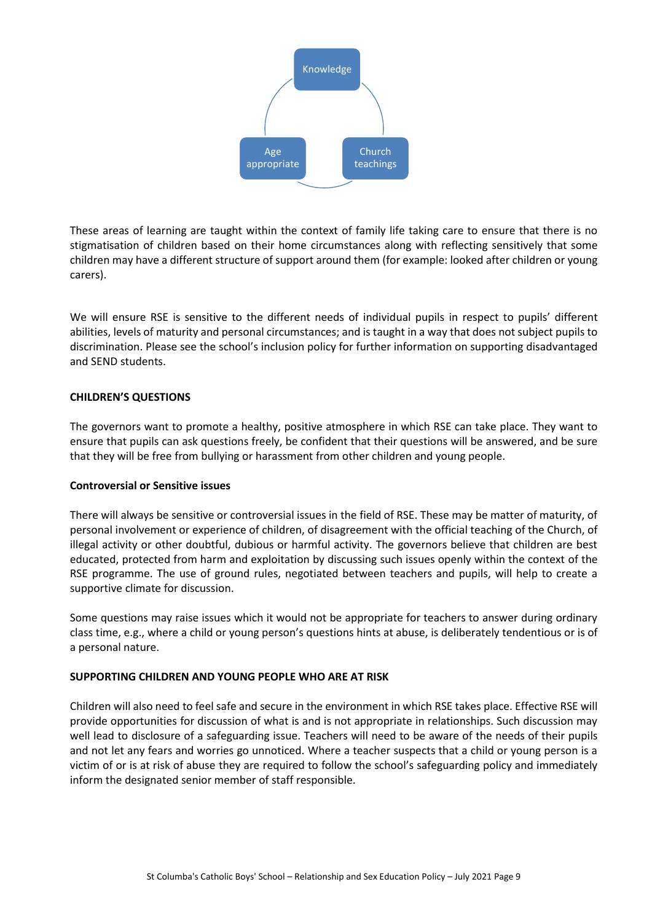

These areas of learning are taught within the context of family life taking care to ensure that there is no stigmatisation of children based on their home circumstances along with reflecting sensitively that some children may have a different structure of support around them (for example: looked after children or young carers).

We will ensure RSE is sensitive to the different needs of individual pupils in respect to pupils' different abilities, levels of maturity and personal circumstances; and is taught in a way that does not subject pupils to discrimination. Please see the school's inclusion policy for further information on supporting disadvantaged and SEND students.

#### **CHILDREN'S QUESTIONS**

The governors want to promote a healthy, positive atmosphere in which RSE can take place. They want to ensure that pupils can ask questions freely, be confident that their questions will be answered, and be sure that they will be free from bullying or harassment from other children and young people.

#### **Controversial or Sensitive issues**

There will always be sensitive or controversial issues in the field of RSE. These may be matter of maturity, of personal involvement or experience of children, of disagreement with the official teaching of the Church, of illegal activity or other doubtful, dubious or harmful activity. The governors believe that children are best educated, protected from harm and exploitation by discussing such issues openly within the context of the RSE programme. The use of ground rules, negotiated between teachers and pupils, will help to create a supportive climate for discussion.

Some questions may raise issues which it would not be appropriate for teachers to answer during ordinary class time, e.g., where a child or young person's questions hints at abuse, is deliberately tendentious or is of a personal nature.

#### **SUPPORTING CHILDREN AND YOUNG PEOPLE WHO ARE AT RISK**

Children will also need to feel safe and secure in the environment in which RSE takes place. Effective RSE will provide opportunities for discussion of what is and is not appropriate in relationships. Such discussion may well lead to disclosure of a safeguarding issue. Teachers will need to be aware of the needs of their pupils and not let any fears and worries go unnoticed. Where a teacher suspects that a child or young person is a victim of or is at risk of abuse they are required to follow the school's safeguarding policy and immediately inform the designated senior member of staff responsible.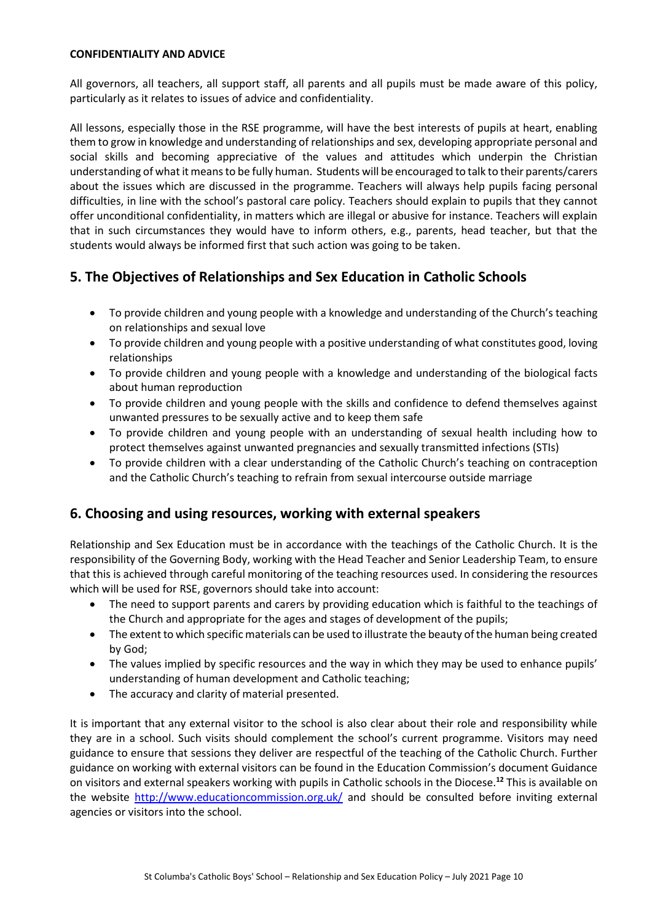#### **CONFIDENTIALITY AND ADVICE**

All governors, all teachers, all support staff, all parents and all pupils must be made aware of this policy, particularly as it relates to issues of advice and confidentiality.

All lessons, especially those in the RSE programme, will have the best interests of pupils at heart, enabling them to grow in knowledge and understanding of relationships and sex, developing appropriate personal and social skills and becoming appreciative of the values and attitudes which underpin the Christian understanding of what it means to be fully human. Students will be encouraged to talk to their parents/carers about the issues which are discussed in the programme. Teachers will always help pupils facing personal difficulties, in line with the school's pastoral care policy. Teachers should explain to pupils that they cannot offer unconditional confidentiality, in matters which are illegal or abusive for instance. Teachers will explain that in such circumstances they would have to inform others, e.g., parents, head teacher, but that the students would always be informed first that such action was going to be taken.

# **5. The Objectives of Relationships and Sex Education in Catholic Schools**

- To provide children and young people with a knowledge and understanding of the Church's teaching on relationships and sexual love
- To provide children and young people with a positive understanding of what constitutes good, loving relationships
- To provide children and young people with a knowledge and understanding of the biological facts about human reproduction
- To provide children and young people with the skills and confidence to defend themselves against unwanted pressures to be sexually active and to keep them safe
- To provide children and young people with an understanding of sexual health including how to protect themselves against unwanted pregnancies and sexually transmitted infections (STIs)
- To provide children with a clear understanding of the Catholic Church's teaching on contraception and the Catholic Church's teaching to refrain from sexual intercourse outside marriage

# **6. Choosing and using resources, working with external speakers**

Relationship and Sex Education must be in accordance with the teachings of the Catholic Church. It is the responsibility of the Governing Body, working with the Head Teacher and Senior Leadership Team, to ensure that this is achieved through careful monitoring of the teaching resources used. In considering the resources which will be used for RSE, governors should take into account:

- The need to support parents and carers by providing education which is faithful to the teachings of the Church and appropriate for the ages and stages of development of the pupils;
- The extent to which specific materials can be used to illustrate the beauty of the human being created by God;
- The values implied by specific resources and the way in which they may be used to enhance pupils' understanding of human development and Catholic teaching;
- The accuracy and clarity of material presented.

It is important that any external visitor to the school is also clear about their role and responsibility while they are in a school. Such visits should complement the school's current programme. Visitors may need guidance to ensure that sessions they deliver are respectful of the teaching of the Catholic Church. Further guidance on working with external visitors can be found in the Education Commission's document Guidance on visitors and external speakers working with pupils in Catholic schools in the Diocese.**<sup>12</sup>** This is available on the website <http://www.educationcommission.org.uk/> and should be consulted before inviting external agencies or visitors into the school.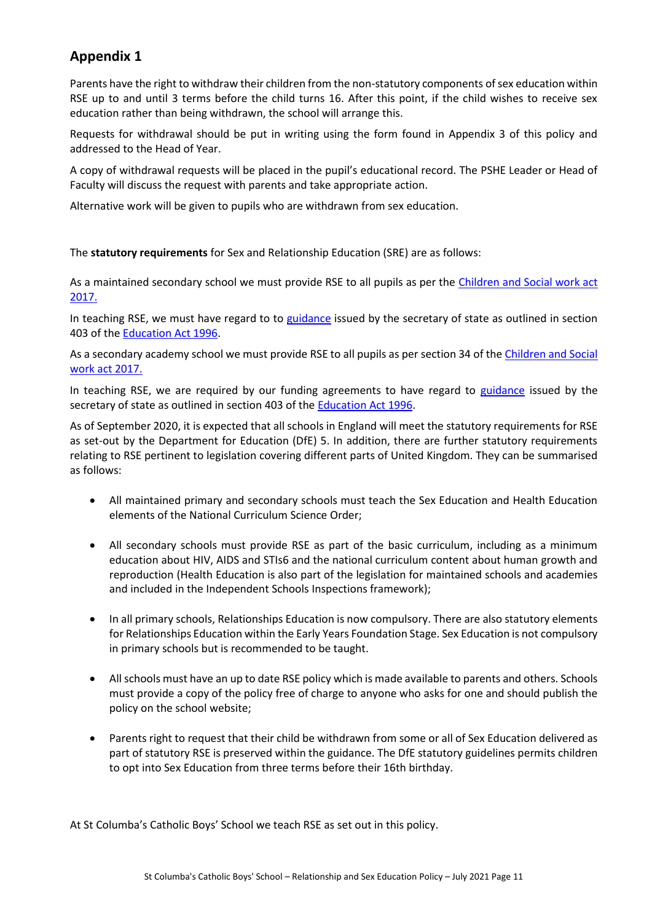# **Appendix 1**

Parents have the right to withdraw their children from the non-statutory components of sex education within RSE up to and until 3 terms before the child turns 16. After this point, if the child wishes to receive sex education rather than being withdrawn, the school will arrange this.

Requests for withdrawal should be put in writing using the form found in Appendix 3 of this policy and addressed to the Head of Year.

A copy of withdrawal requests will be placed in the pupil's educational record. The PSHE Leader or Head of Faculty will discuss the request with parents and take appropriate action.

Alternative work will be given to pupils who are withdrawn from sex education.

The **statutory requirements** for Sex and Relationship Education (SRE) are as follows:

As a maintained secondary school we must provide RSE to all pupils as per the [Children and Social work act](http://www.legislation.gov.uk/ukpga/2017/16/section/34/enacted)  [2017.](http://www.legislation.gov.uk/ukpga/2017/16/section/34/enacted)

In teaching RSE, we must have regard to to [guidance](https://www.gov.uk/government/consultations/relationships-and-sex-education-and-health-education) issued by the secretary of state as outlined in section 403 of the [Education Act 1996.](http://www.legislation.gov.uk/ukpga/1996/56/contents)

As a secondary academy school we must provide RSE to all pupils as per section 34 of the Children and Social [work act 2017.](http://www.legislation.gov.uk/ukpga/2017/16/section/34/enacted)

In teaching RSE, we are required by our funding agreements to have regard to [guidance](https://www.gov.uk/government/consultations/relationships-and-sex-education-and-health-education) issued by the secretary of state as outlined in section 403 of the [Education Act 1996.](http://www.legislation.gov.uk/ukpga/1996/56/contents)

As of September 2020, it is expected that all schools in England will meet the statutory requirements for RSE as set-out by the Department for Education (DfE) 5. In addition, there are further statutory requirements relating to RSE pertinent to legislation covering different parts of United Kingdom. They can be summarised as follows:

- All maintained primary and secondary schools must teach the Sex Education and Health Education elements of the National Curriculum Science Order;
- All secondary schools must provide RSE as part of the basic curriculum, including as a minimum education about HIV, AIDS and STIs6 and the national curriculum content about human growth and reproduction (Health Education is also part of the legislation for maintained schools and academies and included in the Independent Schools Inspections framework);
- In all primary schools, Relationships Education is now compulsory. There are also statutory elements for Relationships Education within the Early Years Foundation Stage. Sex Education is not compulsory in primary schools but is recommended to be taught.
- All schools must have an up to date RSE policy which is made available to parents and others. Schools must provide a copy of the policy free of charge to anyone who asks for one and should publish the policy on the school website;
- Parents right to request that their child be withdrawn from some or all of Sex Education delivered as part of statutory RSE is preserved within the guidance. The DfE statutory guidelines permits children to opt into Sex Education from three terms before their 16th birthday.

At St Columba's Catholic Boys' School we teach RSE as set out in this policy.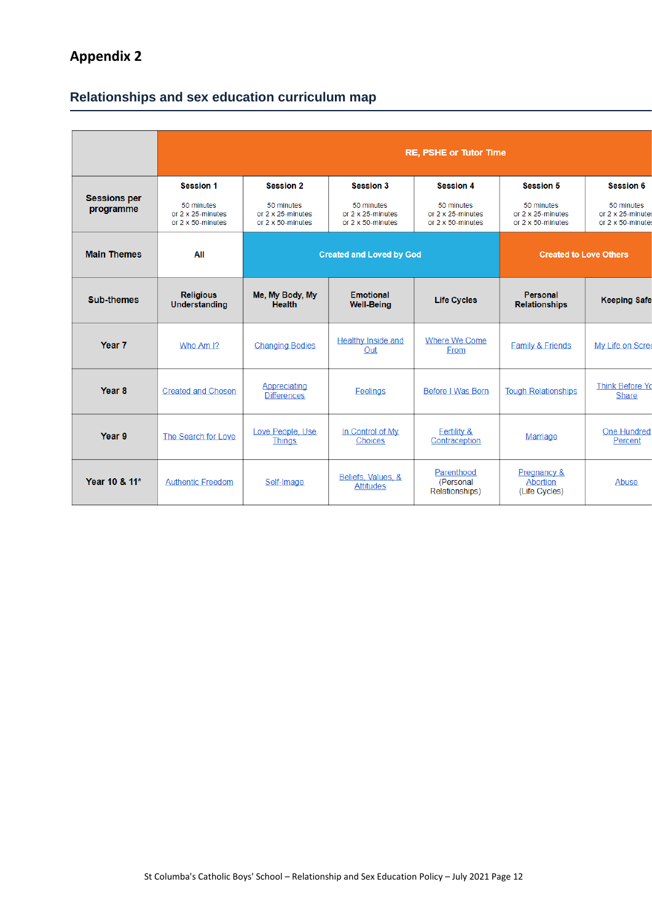# **Appendix 2**

# **Relationships and sex education curriculum map**

|                                  | <b>RE, PSHE or Tutor Time</b>                                            |                                                                          |                                                                          |                                                                          |                                                                          |                                                                          |
|----------------------------------|--------------------------------------------------------------------------|--------------------------------------------------------------------------|--------------------------------------------------------------------------|--------------------------------------------------------------------------|--------------------------------------------------------------------------|--------------------------------------------------------------------------|
| <b>Sessions per</b><br>programme | <b>Session 1</b><br>50 minutes<br>or 2 x 25-minutes<br>or 2 x 50-minutes | <b>Session 2</b><br>50 minutes<br>or 2 x 25-minutes<br>or 2 x 50-minutes | <b>Session 3</b><br>50 minutes<br>or 2 x 25-minutes<br>or 2 x 50-minutes | <b>Session 4</b><br>50 minutes<br>or 2 x 25-minutes<br>or 2 x 50-minutes | <b>Session 5</b><br>50 minutes<br>or 2 x 25-minutes<br>or 2 x 50-minutes | <b>Session 6</b><br>50 minutes<br>or 2 x 25-minutes<br>or 2 x 50-minutes |
| <b>Main Themes</b>               | All                                                                      | <b>Created and Loved by God</b>                                          |                                                                          |                                                                          | <b>Created to Love Others</b>                                            |                                                                          |
| <b>Sub-themes</b>                | <b>Religious</b><br>Understanding                                        | Me, My Body, My<br><b>Health</b>                                         | Emotional<br><b>Well-Being</b>                                           | <b>Life Cycles</b>                                                       | Personal<br><b>Relationships</b>                                         | <b>Keeping Safe</b>                                                      |
| Year <sub>7</sub>                | Who Am 1?                                                                | <b>Changing Bodies</b>                                                   | <b>Healthy Inside and</b><br>Out                                         | <b>Where We Come</b><br><b>From</b>                                      | <b>Family &amp; Friends</b>                                              | My Life on Scree                                                         |
| Year <sub>8</sub>                | <b>Created and Chosen</b>                                                | Appreciating<br><b>Differences</b>                                       | Feelings                                                                 | <b>Before I Was Born</b>                                                 | <b>Tough Relationships</b>                                               | <b>Think Before Yo</b><br>Share                                          |
| Year 9                           | The Search for Love                                                      | Love People, Use<br><b>Things</b>                                        | In Control of My<br>Choices                                              | <b>Fertility &amp;</b><br>Contraception                                  | Marriage                                                                 | One Hundred<br>Percent                                                   |
| Year 10 & 11*                    | <b>Authentic Freedom</b>                                                 | Self-Image                                                               | Beliefs, Values, &<br><b>Attitudes</b>                                   | Parenthood<br>(Personal<br>Relationships)                                | Pregnancy &<br><b>Abortion</b><br>(Life Cycles)                          | Abuse                                                                    |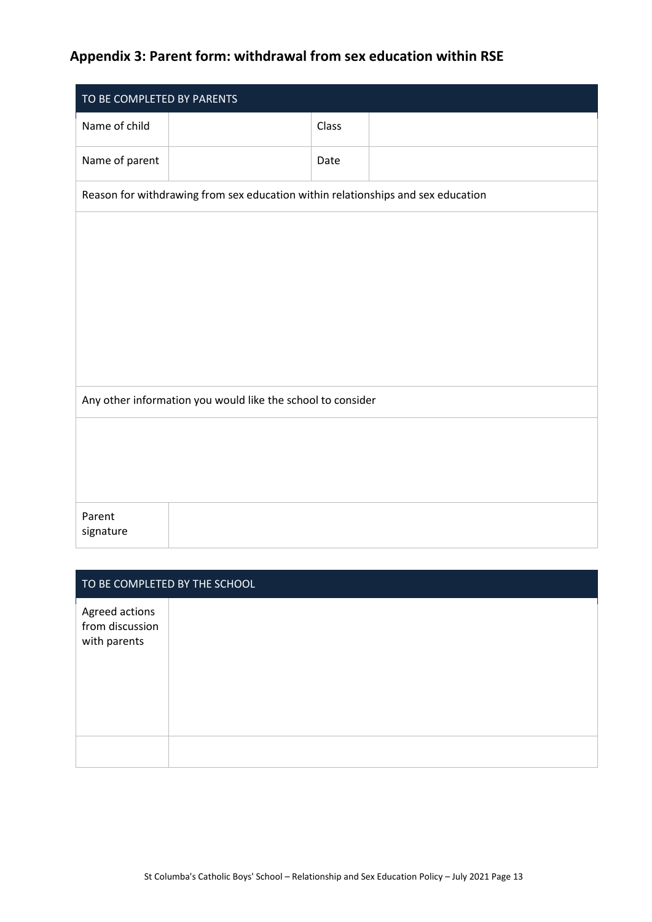# **Appendix 3: Parent form: withdrawal from sex education within RSE**

| TO BE COMPLETED BY PARENTS                                  |                                                                                  |       |  |  |
|-------------------------------------------------------------|----------------------------------------------------------------------------------|-------|--|--|
| Name of child                                               |                                                                                  | Class |  |  |
| Name of parent                                              |                                                                                  | Date  |  |  |
|                                                             | Reason for withdrawing from sex education within relationships and sex education |       |  |  |
|                                                             |                                                                                  |       |  |  |
|                                                             |                                                                                  |       |  |  |
|                                                             |                                                                                  |       |  |  |
|                                                             |                                                                                  |       |  |  |
|                                                             |                                                                                  |       |  |  |
|                                                             |                                                                                  |       |  |  |
| Any other information you would like the school to consider |                                                                                  |       |  |  |
|                                                             |                                                                                  |       |  |  |
|                                                             |                                                                                  |       |  |  |
|                                                             |                                                                                  |       |  |  |
| Parent<br>signature                                         |                                                                                  |       |  |  |

| TO BE COMPLETED BY THE SCHOOL                     |  |  |  |  |
|---------------------------------------------------|--|--|--|--|
| Agreed actions<br>from discussion<br>with parents |  |  |  |  |
|                                                   |  |  |  |  |